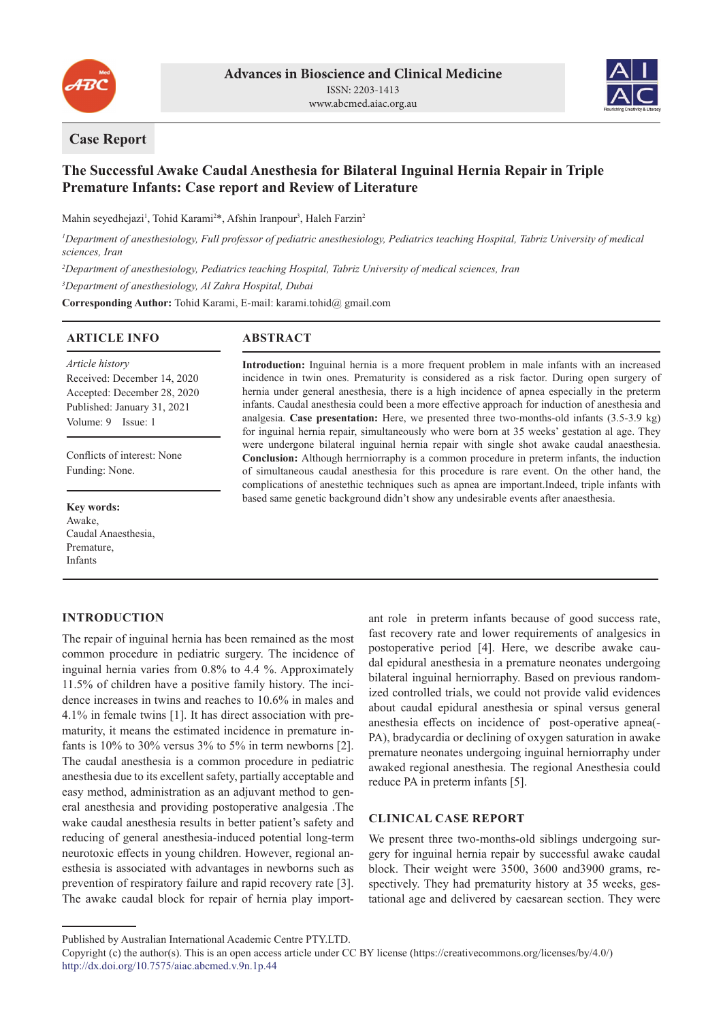



## **Case Report**

# **The Successful Awake Caudal Anesthesia for Bilateral Inguinal Hernia Repair in Triple Premature Infants: Case report and Review of Literature**

Mahin seyedhejazi<sup>1</sup>, Tohid Karami<sup>2\*</sup>, Afshin Iranpour<sup>3</sup>, Haleh Farzin<sup>2</sup>

*1 Department of anesthesiology, Full professor of pediatric anesthesiology, Pediatrics teaching Hospital, Tabriz University of medical sciences, Iran*

*2 Department of anesthesiology, Pediatrics teaching Hospital, Tabriz University of medical sciences, Iran*

*3 Department of anesthesiology, Al Zahra Hospital, Dubai*

**Corresponding Author:** Tohid Karami, E-mail: karami.tohid@ gmail.com

## **ARTICLE INFO**

## **ABSTRACT**

*Article history* Received: December 14, 2020 Accepted: December 28, 2020 Published: January 31, 2021 Volume: 9 Issue: 1

Conflicts of interest: None Funding: None.

**Key words:** Awake, Caudal Anaesthesia, Premature, Infants

## **INTRODUCTION**

The repair of inguinal hernia has been remained as the most common procedure in pediatric surgery. The incidence of inguinal hernia varies from 0.8% to 4.4 %. Approximately 11.5% of children have a positive family history. The incidence increases in twins and reaches to 10.6% in males and 4.1% in female twins [1]. It has direct association with prematurity, it means the estimated incidence in premature infants is 10% to 30% versus 3% to 5% in term newborns [2]. The caudal anesthesia is a common procedure in pediatric anesthesia due to its excellent safety, partially acceptable and easy method, administration as an adjuvant method to general anesthesia and providing postoperative analgesia .The wake caudal anesthesia results in better patient's safety and reducing of general anesthesia-induced potential long-term neurotoxic effects in young children. However, regional anesthesia is associated with advantages in newborns such as prevention of respiratory failure and rapid recovery rate [3]. The awake caudal block for repair of hernia play import-

**Introduction:** Inguinal hernia is a more frequent problem in male infants with an increased incidence in twin ones. Prematurity is considered as a risk factor. During open surgery of hernia under general anesthesia, there is a high incidence of apnea especially in the preterm infants. Caudal anesthesia could been a more effective approach for induction of anesthesia and analgesia. **Case presentation:** Here, we presented three two-months-old infants (3.5-3.9 kg) for inguinal hernia repair, simultaneously who were born at 35 weeks' gestation al age. They were undergone bilateral inguinal hernia repair with single shot awake caudal anaesthesia. **Conclusion:** Although herrniorraphy is a common procedure in preterm infants, the induction of simultaneous caudal anesthesia for this procedure is rare event. On the other hand, the complications of anestethic techniques such as apnea are important.Indeed, triple infants with based same genetic background didn't show any undesirable events after anaesthesia.

> ant role in preterm infants because of good success rate, fast recovery rate and lower requirements of analgesics in postoperative period [4]. Here, we describe awake caudal epidural anesthesia in a premature neonates undergoing bilateral inguinal herniorraphy. Based on previous randomized controlled trials, we could not provide valid evidences about caudal epidural anesthesia or spinal versus general anesthesia effects on incidence of post-operative apnea(- PA), bradycardia or declining of oxygen saturation in awake premature neonates undergoing inguinal herniorraphy under awaked regional anesthesia. The regional Anesthesia could reduce PA in preterm infants [5].

## **CLINICAL CASE REPORT**

We present three two-months-old siblings undergoing surgery for inguinal hernia repair by successful awake caudal block. Their weight were 3500, 3600 and3900 grams, respectively. They had prematurity history at 35 weeks, gestational age and delivered by caesarean section. They were

Published by Australian International Academic Centre PTY.LTD.

Copyright (c) the author(s). This is an open access article under CC BY license (https://creativecommons.org/licenses/by/4.0/) http://dx.doi.org/10.7575/aiac.abcmed.v.9n.1p.44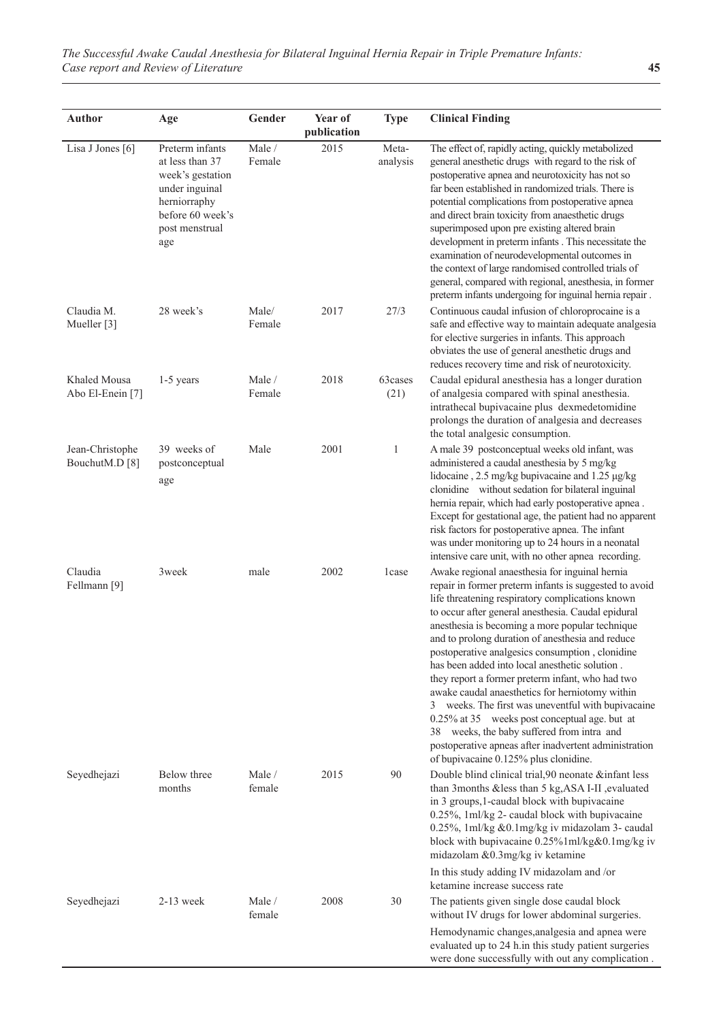| <b>Author</b>                        | Age                                                                                                                                   | Gender           | Year of<br>publication | <b>Type</b>       | <b>Clinical Finding</b>                                                                                                                                                                                                                                                                                                                                                                                                                                                                                                                                                                                                                                                                                                                                                                      |
|--------------------------------------|---------------------------------------------------------------------------------------------------------------------------------------|------------------|------------------------|-------------------|----------------------------------------------------------------------------------------------------------------------------------------------------------------------------------------------------------------------------------------------------------------------------------------------------------------------------------------------------------------------------------------------------------------------------------------------------------------------------------------------------------------------------------------------------------------------------------------------------------------------------------------------------------------------------------------------------------------------------------------------------------------------------------------------|
| Lisa J Jones [6]                     | Preterm infants<br>at less than 37<br>week's gestation<br>under inguinal<br>herniorraphy<br>before 60 week's<br>post menstrual<br>age | Male /<br>Female | 2015                   | Meta-<br>analysis | The effect of, rapidly acting, quickly metabolized<br>general anesthetic drugs with regard to the risk of<br>postoperative apnea and neurotoxicity has not so<br>far been established in randomized trials. There is<br>potential complications from postoperative apnea<br>and direct brain toxicity from anaesthetic drugs<br>superimposed upon pre existing altered brain<br>development in preterm infants . This necessitate the<br>examination of neurodevelopmental outcomes in<br>the context of large randomised controlled trials of<br>general, compared with regional, anesthesia, in former<br>preterm infants undergoing for inguinal hernia repair.                                                                                                                           |
| Claudia M.<br>Mueller <sup>[3]</sup> | 28 week's                                                                                                                             | Male/<br>Female  | 2017                   | 27/3              | Continuous caudal infusion of chloroprocaine is a<br>safe and effective way to maintain adequate analgesia<br>for elective surgeries in infants. This approach<br>obviates the use of general anesthetic drugs and<br>reduces recovery time and risk of neurotoxicity.                                                                                                                                                                                                                                                                                                                                                                                                                                                                                                                       |
| Khaled Mousa<br>Abo El-Enein [7]     | $1-5$ years                                                                                                                           | Male /<br>Female | 2018                   | 63cases<br>(21)   | Caudal epidural anesthesia has a longer duration<br>of analgesia compared with spinal anesthesia.<br>intrathecal bupivacaine plus dexmedetomidine<br>prolongs the duration of analgesia and decreases<br>the total analgesic consumption.                                                                                                                                                                                                                                                                                                                                                                                                                                                                                                                                                    |
| Jean-Christophe<br>BouchutM.D [8]    | 39 weeks of<br>postconceptual<br>age                                                                                                  | Male             | 2001                   | $\mathbf{1}$      | A male 39 postconceptual weeks old infant, was<br>administered a caudal anesthesia by 5 mg/kg<br>lidocaine, 2.5 mg/kg bupivacaine and 1.25 µg/kg<br>clonidine without sedation for bilateral inguinal<br>hernia repair, which had early postoperative apnea.<br>Except for gestational age, the patient had no apparent<br>risk factors for postoperative apnea. The infant<br>was under monitoring up to 24 hours in a neonatal<br>intensive care unit, with no other apnea recording.                                                                                                                                                                                                                                                                                                      |
| Claudia<br>Fellmann <sup>[9]</sup>   | 3week                                                                                                                                 | male             | 2002                   | 1case             | Awake regional anaesthesia for inguinal hernia<br>repair in former preterm infants is suggested to avoid<br>life threatening respiratory complications known<br>to occur after general anesthesia. Caudal epidural<br>anesthesia is becoming a more popular technique<br>and to prolong duration of anesthesia and reduce<br>postoperative analgesics consumption, clonidine<br>has been added into local anesthetic solution.<br>they report a former preterm infant, who had two<br>awake caudal anaesthetics for herniotomy within<br>3 weeks. The first was uneventful with bupivacaine<br>0.25% at 35 weeks post conceptual age. but at<br>38 weeks, the baby suffered from intra and<br>postoperative apneas after inadvertent administration<br>of bupivacaine 0.125% plus clonidine. |
| Seyedhejazi                          | Below three<br>months                                                                                                                 | Male /<br>female | 2015                   | 90                | Double blind clinical trial, 90 neonate &infant less<br>than 3months &less than 5 kg, ASA I-II, evaluated<br>in 3 groups, 1-caudal block with bupivacaine<br>0.25%, 1ml/kg 2- caudal block with bupivacaine<br>0.25%, 1ml/kg &0.1mg/kg iv midazolam 3- caudal<br>block with bupivacaine 0.25%1ml/kg&0.1mg/kg iv<br>midazolam &0.3mg/kg iv ketamine                                                                                                                                                                                                                                                                                                                                                                                                                                           |
| Seyedhejazi                          | $2-13$ week                                                                                                                           | Male /<br>female | 2008                   | 30                | In this study adding IV midazolam and /or<br>ketamine increase success rate<br>The patients given single dose caudal block<br>without IV drugs for lower abdominal surgeries.                                                                                                                                                                                                                                                                                                                                                                                                                                                                                                                                                                                                                |
|                                      |                                                                                                                                       |                  |                        |                   | Hemodynamic changes, analgesia and apnea were<br>evaluated up to 24 h.in this study patient surgeries<br>were done successfully with out any complication.                                                                                                                                                                                                                                                                                                                                                                                                                                                                                                                                                                                                                                   |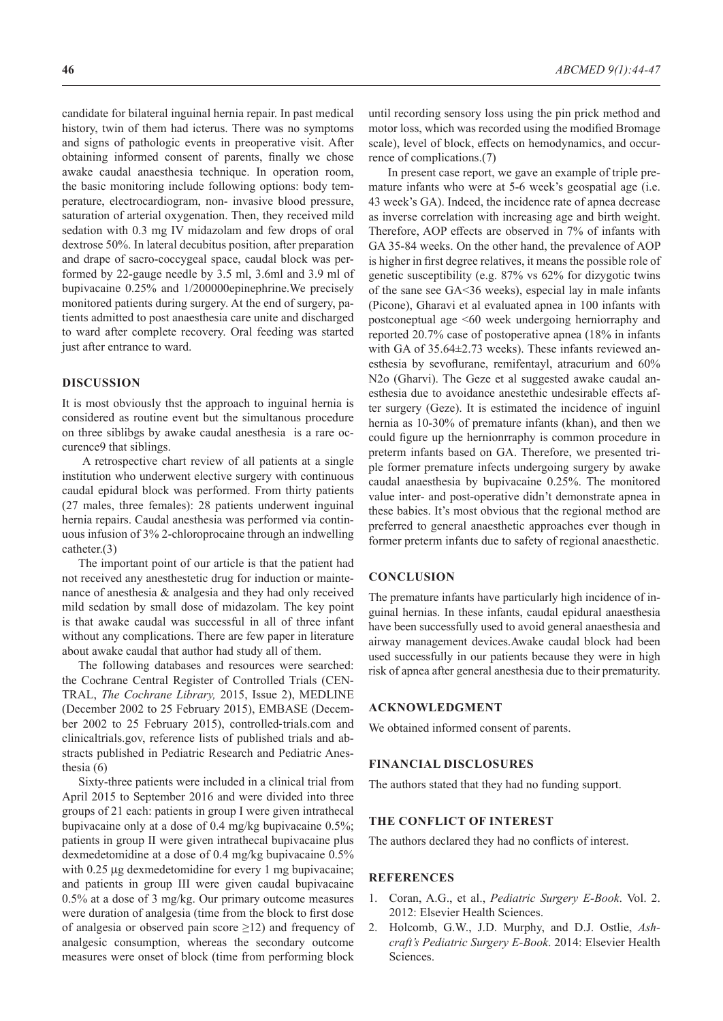candidate for bilateral inguinal hernia repair. In past medical history, twin of them had icterus. There was no symptoms and signs of pathologic events in preoperative visit. After obtaining informed consent of parents, finally we chose awake caudal anaesthesia technique. In operation room, the basic monitoring include following options: body temperature, electrocardiogram, non- invasive blood pressure, saturation of arterial oxygenation. Then, they received mild sedation with 0.3 mg IV midazolam and few drops of oral dextrose 50%. In lateral decubitus position, after preparation and drape of sacro-coccygeal space, caudal block was performed by 22-gauge needle by 3.5 ml, 3.6ml and 3.9 ml of bupivacaine 0.25% and 1/200000epinephrine.We precisely monitored patients during surgery. At the end of surgery, patients admitted to post anaesthesia care unite and discharged to ward after complete recovery. Oral feeding was started just after entrance to ward.

#### **DISCUSSION**

It is most obviously thst the approach to inguinal hernia is considered as routine event but the simultanous procedure on three siblibgs by awake caudal anesthesia is a rare occurence9 that siblings.

 A retrospective chart review of all patients at a single institution who underwent elective surgery with continuous caudal epidural block was performed. From thirty patients (27 males, three females): 28 patients underwent inguinal hernia repairs. Caudal anesthesia was performed via continuous infusion of 3% 2-chloroprocaine through an indwelling catheter.(3)

The important point of our article is that the patient had not received any anesthestetic drug for induction or maintenance of anesthesia & analgesia and they had only received mild sedation by small dose of midazolam. The key point is that awake caudal was successful in all of three infant without any complications. There are few paper in literature about awake caudal that author had study all of them.

The following databases and resources were searched: the Cochrane Central Register of Controlled Trials (CEN-TRAL, *The Cochrane Library,* 2015, Issue 2), MEDLINE (December 2002 to 25 February 2015), EMBASE (December 2002 to 25 February 2015), controlled‐trials.com and clinicaltrials.gov, reference lists of published trials and abstracts published in Pediatric Research and Pediatric Anesthesia (6)

Sixty-three patients were included in a clinical trial from April 2015 to September 2016 and were divided into three groups of 21 each: patients in group I were given intrathecal bupivacaine only at a dose of 0.4 mg/kg bupivacaine 0.5%; patients in group II were given intrathecal bupivacaine plus dexmedetomidine at a dose of 0.4 mg/kg bupivacaine 0.5% with 0.25 μg dexmedetomidine for every 1 mg bupivacaine; and patients in group III were given caudal bupivacaine 0.5% at a dose of 3 mg/kg. Our primary outcome measures were duration of analgesia (time from the block to first dose of analgesia or observed pain score  $\geq$ 12) and frequency of analgesic consumption, whereas the secondary outcome measures were onset of block (time from performing block until recording sensory loss using the pin prick method and motor loss, which was recorded using the modified Bromage scale), level of block, effects on hemodynamics, and occurrence of complications.(7)

 In present case report, we gave an example of triple premature infants who were at 5-6 week's geospatial age (i.e. 43 week's GA). Indeed, the incidence rate of apnea decrease as inverse correlation with increasing age and birth weight. Therefore, AOP effects are observed in 7% of infants with GA 35-84 weeks. On the other hand, the prevalence of AOP is higher in first degree relatives, it means the possible role of genetic susceptibility (e.g. 87% vs 62% for dizygotic twins of the sane see GA<36 weeks), especial lay in male infants (Picone), Gharavi et al evaluated apnea in 100 infants with postconeptual age <60 week undergoing herniorraphy and reported 20.7% case of postoperative apnea (18% in infants with GA of 35.64±2.73 weeks). These infants reviewed anesthesia by sevoflurane, remifentayl, atracurium and 60% N2o (Gharvi). The Geze et al suggested awake caudal anesthesia due to avoidance anestethic undesirable effects after surgery (Geze). It is estimated the incidence of inguinl hernia as 10-30% of premature infants (khan), and then we could figure up the hernionrraphy is common procedure in preterm infants based on GA. Therefore, we presented triple former premature infects undergoing surgery by awake caudal anaesthesia by bupivacaine 0.25%. The monitored value inter- and post-operative didn't demonstrate apnea in these babies. It's most obvious that the regional method are preferred to general anaesthetic approaches ever though in former preterm infants due to safety of regional anaesthetic.

#### **CONCLUSION**

The premature infants have particularly high incidence of inguinal hernias. In these infants, caudal epidural anaesthesia have been successfully used to avoid general anaesthesia and airway management devices.Awake caudal block had been used successfully in our patients because they were in high risk of apnea after general anesthesia due to their prematurity.

## **ACKNOWLEDGMENT**

We obtained informed consent of parents.

### **FINANCIAL DISCLOSURES**

The authors stated that they had no funding support.

## **THE CONFLICT OF INTEREST**

The authors declared they had no conflicts of interest.

#### **REFERENCES**

- 1. Coran, A.G., et al., *Pediatric Surgery E-Book*. Vol. 2. 2012: Elsevier Health Sciences.
- 2. Holcomb, G.W., J.D. Murphy, and D.J. Ostlie, *Ashcraft's Pediatric Surgery E-Book*. 2014: Elsevier Health Sciences.